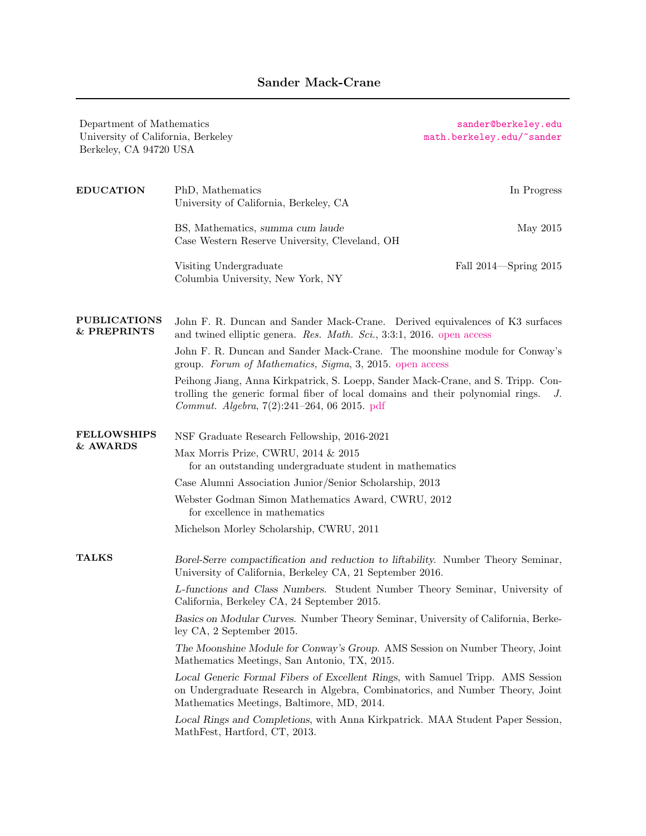Department of Mathematics [sander@berkeley.edu](mailto:sander@berkeley.edu) University of California, Berkeley [math.berkeley.edu/~sander](https://math.berkeley.edu/~sander/) Berkeley, CA 94720 USA EDUCATION PhD, Mathematics In Progress University of California, Berkeley, CA BS, Mathematics, summa cum laude May 2015 Case Western Reserve University, Cleveland, OH Visiting Undergraduate Fall 2014—Spring 2015 Columbia University, New York, NY PUBLICATIONS & PREPRINTS John F. R. Duncan and Sander Mack-Crane. Derived equivalences of K3 surfaces and twined elliptic genera. Res. Math. Sci., 3:3:1, 2016. [open access](http://link.springer.com/article/10.1186/s40687-015-0050-9) John F. R. Duncan and Sander Mack-Crane. The moonshine module for Conway's group. Forum of Mathematics, Sigma, 3, 2015. [open access](http://dx.doi.org/10.1017/fms.2015.7) Peihong Jiang, Anna Kirkpatrick, S. Loepp, Sander Mack-Crane, and S. Tripp. Controlling the generic formal fiber of local domains and their polynomial rings. J. Commut. Algebra, 7(2):241–264, 06 2015. [pdf](http://math.berkeley.edu/~sander/writing/jian.pdf) FELLOWSHIPS & AWARDS NSF Graduate Research Fellowship, 2016-2021 Max Morris Prize, CWRU, 2014 & 2015 for an outstanding undergraduate student in mathematics Case Alumni Association Junior/Senior Scholarship, 2013 Webster Godman Simon Mathematics Award, CWRU, 2012 for excellence in mathematics Michelson Morley Scholarship, CWRU, 2011 TALKS Borel-Serre compactification and reduction to liftability. Number Theory Seminar, University of California, Berkeley CA, 21 September 2016. L-functions and Class Numbers. Student Number Theory Seminar, University of California, Berkeley CA, 24 September 2015. Basics on Modular Curves. Number Theory Seminar, University of California, Berkeley CA, 2 September 2015. The Moonshine Module for Conway's Group. AMS Session on Number Theory, Joint Mathematics Meetings, San Antonio, TX, 2015. Local Generic Formal Fibers of Excellent Rings, with Samuel Tripp. AMS Session on Undergraduate Research in Algebra, Combinatorics, and Number Theory, Joint Mathematics Meetings, Baltimore, MD, 2014. Local Rings and Completions, with Anna Kirkpatrick. MAA Student Paper Session, MathFest, Hartford, CT, 2013.